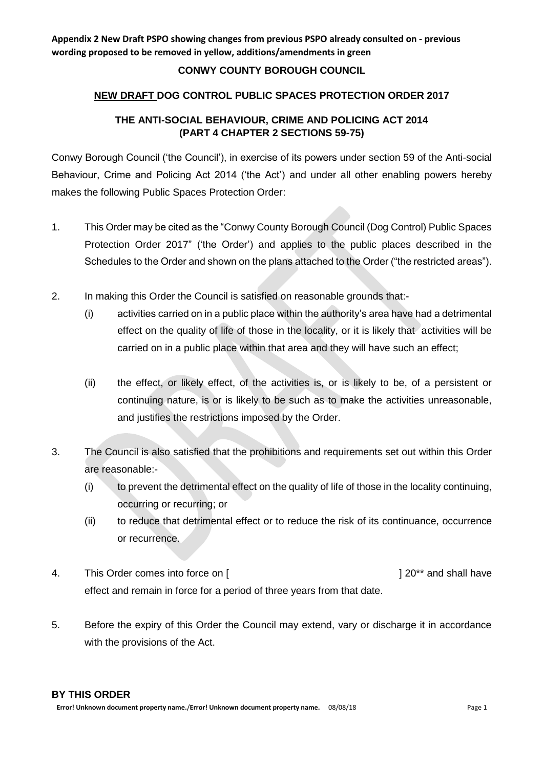## **CONWY COUNTY BOROUGH COUNCIL**

#### **NEW DRAFT DOG CONTROL PUBLIC SPACES PROTECTION ORDER 2017**

## **THE ANTI-SOCIAL BEHAVIOUR, CRIME AND POLICING ACT 2014 (PART 4 CHAPTER 2 SECTIONS 59-75)**

Conwy Borough Council ('the Council'), in exercise of its powers under section 59 of the Anti-social Behaviour, Crime and Policing Act 2014 ('the Act') and under all other enabling powers hereby makes the following Public Spaces Protection Order:

- 1. This Order may be cited as the "Conwy County Borough Council (Dog Control) Public Spaces Protection Order 2017" ('the Order') and applies to the public places described in the Schedules to the Order and shown on the plans attached to the Order ("the restricted areas").
- 2. In making this Order the Council is satisfied on reasonable grounds that:-
	- (i) activities carried on in a public place within the authority's area have had a detrimental effect on the quality of life of those in the locality, or it is likely that activities will be carried on in a public place within that area and they will have such an effect;
	- (ii) the effect, or likely effect, of the activities is, or is likely to be, of a persistent or continuing nature, is or is likely to be such as to make the activities unreasonable, and justifies the restrictions imposed by the Order.
- 3. The Council is also satisfied that the prohibitions and requirements set out within this Order are reasonable:-
	- (i) to prevent the detrimental effect on the quality of life of those in the locality continuing, occurring or recurring; or
	- (ii) to reduce that detrimental effect or to reduce the risk of its continuance, occurrence or recurrence.
- 4. This Order comes into force on [  $\vert$  20<sup>\*\*</sup> and shall have effect and remain in force for a period of three years from that date.
- 5. Before the expiry of this Order the Council may extend, vary or discharge it in accordance with the provisions of the Act.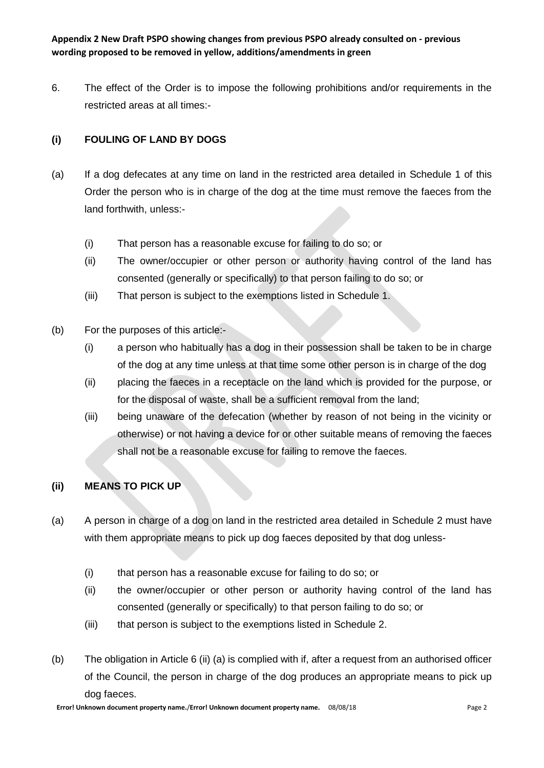6. The effect of the Order is to impose the following prohibitions and/or requirements in the restricted areas at all times:-

## **(i) FOULING OF LAND BY DOGS**

- (a) If a dog defecates at any time on land in the restricted area detailed in Schedule 1 of this Order the person who is in charge of the dog at the time must remove the faeces from the land forthwith, unless:-
	- (i) That person has a reasonable excuse for failing to do so; or
	- (ii) The owner/occupier or other person or authority having control of the land has consented (generally or specifically) to that person failing to do so; or
	- (iii) That person is subject to the exemptions listed in Schedule 1.
- (b) For the purposes of this article:-
	- (i) a person who habitually has a dog in their possession shall be taken to be in charge of the dog at any time unless at that time some other person is in charge of the dog
	- (ii) placing the faeces in a receptacle on the land which is provided for the purpose, or for the disposal of waste, shall be a sufficient removal from the land;
	- (iii) being unaware of the defecation (whether by reason of not being in the vicinity or otherwise) or not having a device for or other suitable means of removing the faeces shall not be a reasonable excuse for failing to remove the faeces.

## **(ii) MEANS TO PICK UP**

- (a) A person in charge of a dog on land in the restricted area detailed in Schedule 2 must have with them appropriate means to pick up dog faeces deposited by that dog unless-
	- (i) that person has a reasonable excuse for failing to do so; or
	- (ii) the owner/occupier or other person or authority having control of the land has consented (generally or specifically) to that person failing to do so; or
	- (iii) that person is subject to the exemptions listed in Schedule 2.
- (b) The obligation in Article 6 (ii) (a) is complied with if, after a request from an authorised officer of the Council, the person in charge of the dog produces an appropriate means to pick up dog faeces.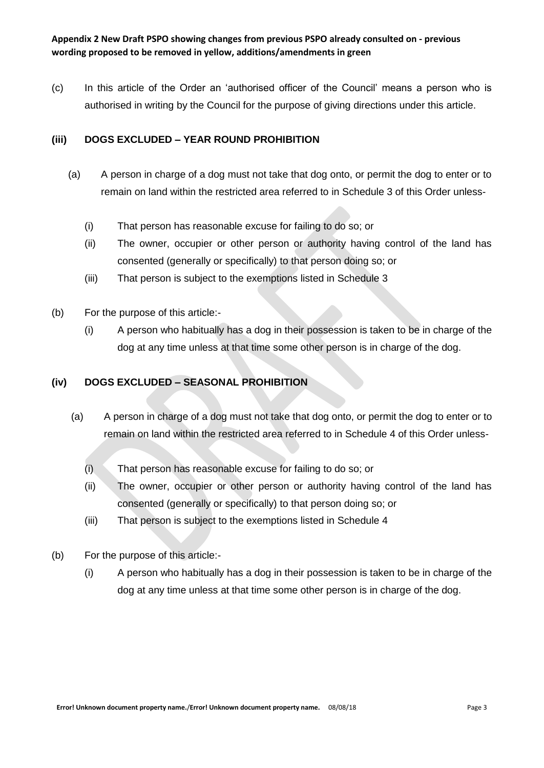(c) In this article of the Order an 'authorised officer of the Council' means a person who is authorised in writing by the Council for the purpose of giving directions under this article.

## **(iii) DOGS EXCLUDED – YEAR ROUND PROHIBITION**

- (a) A person in charge of a dog must not take that dog onto, or permit the dog to enter or to remain on land within the restricted area referred to in Schedule 3 of this Order unless-
	- (i) That person has reasonable excuse for failing to do so; or
	- (ii) The owner, occupier or other person or authority having control of the land has consented (generally or specifically) to that person doing so; or
	- (iii) That person is subject to the exemptions listed in Schedule 3
- (b) For the purpose of this article:-
	- (i) A person who habitually has a dog in their possession is taken to be in charge of the dog at any time unless at that time some other person is in charge of the dog.

#### **(iv) DOGS EXCLUDED – SEASONAL PROHIBITION**

- (a) A person in charge of a dog must not take that dog onto, or permit the dog to enter or to remain on land within the restricted area referred to in Schedule 4 of this Order unless-
	- (i) That person has reasonable excuse for failing to do so; or
	- (ii) The owner, occupier or other person or authority having control of the land has consented (generally or specifically) to that person doing so; or
	- (iii) That person is subject to the exemptions listed in Schedule 4
- (b) For the purpose of this article:-
	- (i) A person who habitually has a dog in their possession is taken to be in charge of the dog at any time unless at that time some other person is in charge of the dog.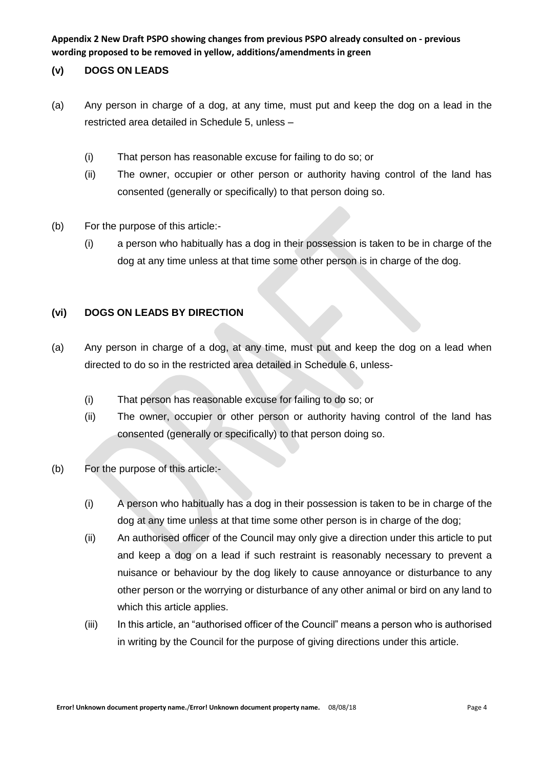### **(v) DOGS ON LEADS**

- (a) Any person in charge of a dog, at any time, must put and keep the dog on a lead in the restricted area detailed in Schedule 5, unless –
	- (i) That person has reasonable excuse for failing to do so; or
	- (ii) The owner, occupier or other person or authority having control of the land has consented (generally or specifically) to that person doing so.
- (b) For the purpose of this article:-
	- (i) a person who habitually has a dog in their possession is taken to be in charge of the dog at any time unless at that time some other person is in charge of the dog.

### **(vi) DOGS ON LEADS BY DIRECTION**

- (a) Any person in charge of a dog, at any time, must put and keep the dog on a lead when directed to do so in the restricted area detailed in Schedule 6, unless-
	- (i) That person has reasonable excuse for failing to do so; or
	- (ii) The owner, occupier or other person or authority having control of the land has consented (generally or specifically) to that person doing so.
- (b) For the purpose of this article:-
	- (i) A person who habitually has a dog in their possession is taken to be in charge of the dog at any time unless at that time some other person is in charge of the dog;
	- (ii) An authorised officer of the Council may only give a direction under this article to put and keep a dog on a lead if such restraint is reasonably necessary to prevent a nuisance or behaviour by the dog likely to cause annoyance or disturbance to any other person or the worrying or disturbance of any other animal or bird on any land to which this article applies.
	- (iii) In this article, an "authorised officer of the Council" means a person who is authorised in writing by the Council for the purpose of giving directions under this article.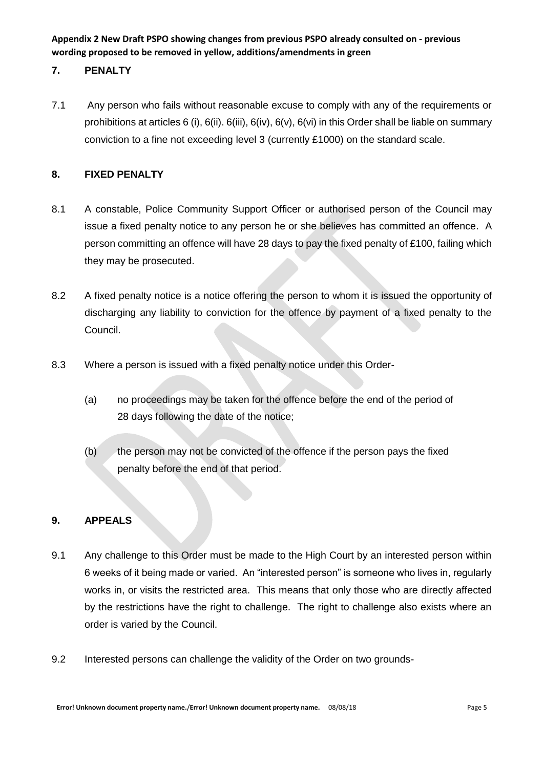## **7. PENALTY**

7.1 Any person who fails without reasonable excuse to comply with any of the requirements or prohibitions at articles 6 (i), 6(ii). 6(iii), 6(iv), 6(v), 6(vi) in this Order shall be liable on summary conviction to a fine not exceeding level 3 (currently £1000) on the standard scale.

## **8. FIXED PENALTY**

- 8.1 A constable, Police Community Support Officer or authorised person of the Council may issue a fixed penalty notice to any person he or she believes has committed an offence. A person committing an offence will have 28 days to pay the fixed penalty of £100, failing which they may be prosecuted.
- 8.2 A fixed penalty notice is a notice offering the person to whom it is issued the opportunity of discharging any liability to conviction for the offence by payment of a fixed penalty to the Council.
- 8.3 Where a person is issued with a fixed penalty notice under this Order-
	- (a) no proceedings may be taken for the offence before the end of the period of 28 days following the date of the notice;
	- (b) the person may not be convicted of the offence if the person pays the fixed penalty before the end of that period.

#### **9. APPEALS**

- 9.1 Any challenge to this Order must be made to the High Court by an interested person within 6 weeks of it being made or varied. An "interested person" is someone who lives in, regularly works in, or visits the restricted area. This means that only those who are directly affected by the restrictions have the right to challenge. The right to challenge also exists where an order is varied by the Council.
- 9.2 Interested persons can challenge the validity of the Order on two grounds-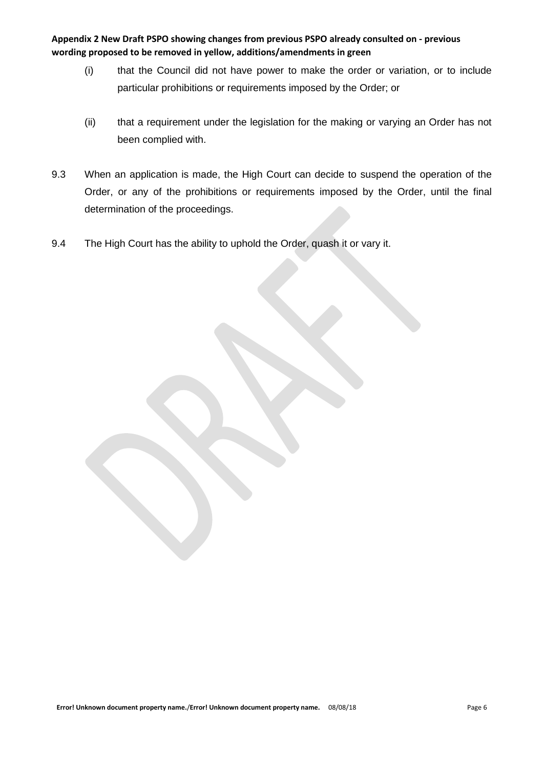- (i) that the Council did not have power to make the order or variation, or to include particular prohibitions or requirements imposed by the Order; or
- (ii) that a requirement under the legislation for the making or varying an Order has not been complied with.
- 9.3 When an application is made, the High Court can decide to suspend the operation of the Order, or any of the prohibitions or requirements imposed by the Order, until the final determination of the proceedings.
- 9.4 The High Court has the ability to uphold the Order, quash it or vary it.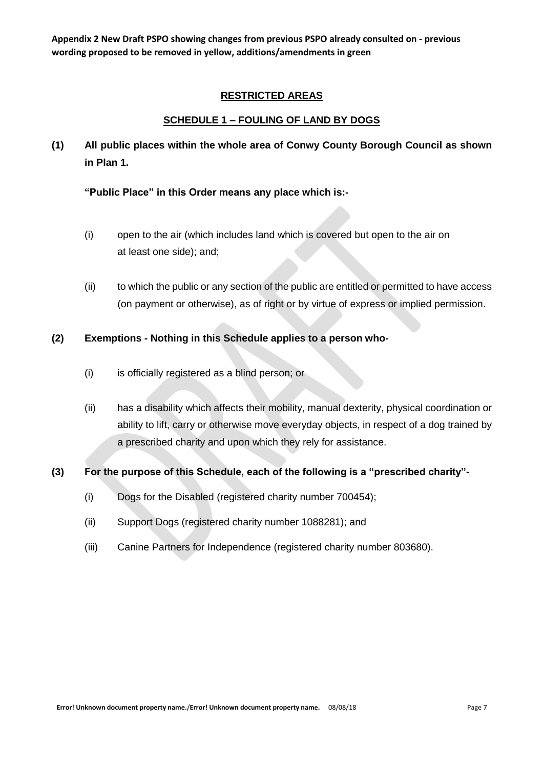#### **RESTRICTED AREAS**

### **SCHEDULE 1 – FOULING OF LAND BY DOGS**

**(1) All public places within the whole area of Conwy County Borough Council as shown in Plan 1.**

**"Public Place" in this Order means any place which is:-**

- (i) open to the air (which includes land which is covered but open to the air on at least one side); and;
- (ii) to which the public or any section of the public are entitled or permitted to have access (on payment or otherwise), as of right or by virtue of express or implied permission.

#### **(2) Exemptions - Nothing in this Schedule applies to a person who-**

- (i) is officially registered as a blind person; or
- (ii) has a disability which affects their mobility, manual dexterity, physical coordination or ability to lift, carry or otherwise move everyday objects, in respect of a dog trained by a prescribed charity and upon which they rely for assistance.

#### **(3) For the purpose of this Schedule, each of the following is a "prescribed charity"-**

- (i) Dogs for the Disabled (registered charity number 700454);
- (ii) Support Dogs (registered charity number 1088281); and
- (iii) Canine Partners for Independence (registered charity number 803680).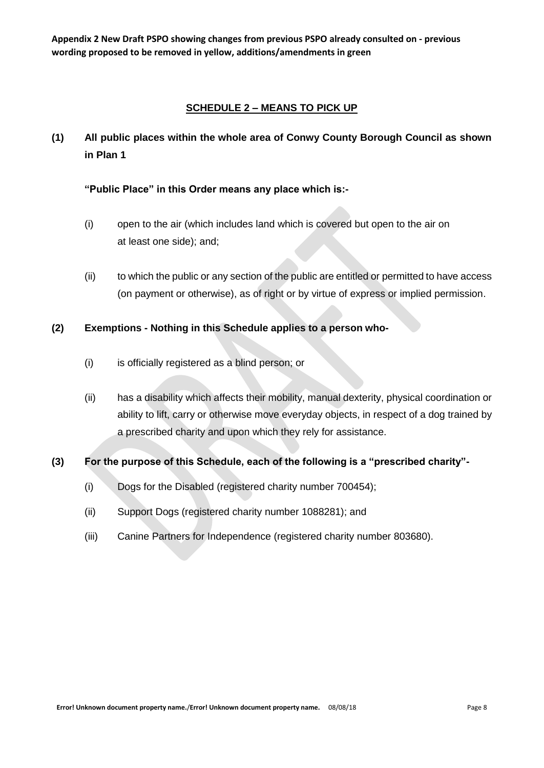## **SCHEDULE 2 – MEANS TO PICK UP**

**(1) All public places within the whole area of Conwy County Borough Council as shown in Plan 1**

## **"Public Place" in this Order means any place which is:-**

- (i) open to the air (which includes land which is covered but open to the air on at least one side); and;
- (ii) to which the public or any section of the public are entitled or permitted to have access (on payment or otherwise), as of right or by virtue of express or implied permission.

### **(2) Exemptions - Nothing in this Schedule applies to a person who-**

- (i) is officially registered as a blind person; or
- (ii) has a disability which affects their mobility, manual dexterity, physical coordination or ability to lift, carry or otherwise move everyday objects, in respect of a dog trained by a prescribed charity and upon which they rely for assistance.

## **(3) For the purpose of this Schedule, each of the following is a "prescribed charity"-**

- (i) Dogs for the Disabled (registered charity number 700454);
- (ii) Support Dogs (registered charity number 1088281); and
- (iii) Canine Partners for Independence (registered charity number 803680).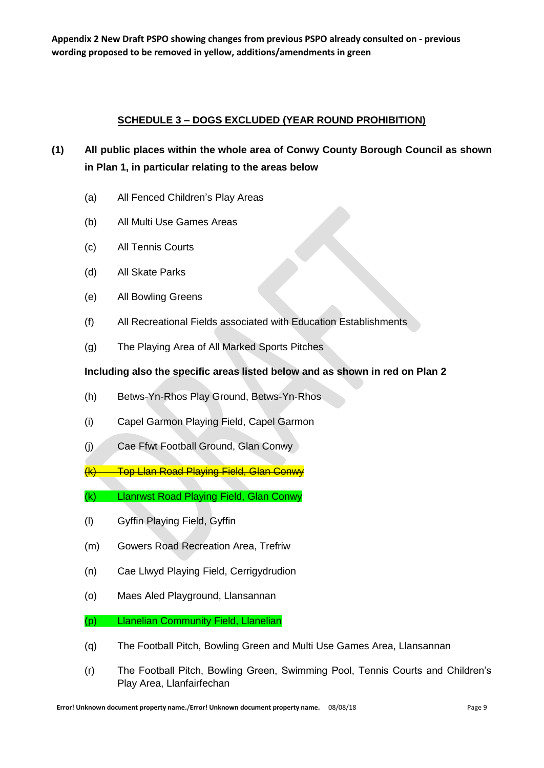## **SCHEDULE 3 – DOGS EXCLUDED (YEAR ROUND PROHIBITION)**

# **(1) All public places within the whole area of Conwy County Borough Council as shown in Plan 1, in particular relating to the areas below**

- (a) All Fenced Children's Play Areas
- (b) All Multi Use Games Areas
- (c) All Tennis Courts
- (d) All Skate Parks
- (e) All Bowling Greens
- (f) All Recreational Fields associated with Education Establishments
- (g) The Playing Area of All Marked Sports Pitches

## **Including also the specific areas listed below and as shown in red on Plan 2**

- (h) Betws-Yn-Rhos Play Ground, Betws-Yn-Rhos
- (i) Capel Garmon Playing Field, Capel Garmon
- (j) Cae Ffwt Football Ground, Glan Conwy
- (k) Top Llan Road Playing Field, Glan Conwy
- (k) Llanrwst Road Playing Field, Glan Conwy
- (l) Gyffin Playing Field, Gyffin
- (m) Gowers Road Recreation Area, Trefriw
- (n) Cae Llwyd Playing Field, Cerrigydrudion
- (o) Maes Aled Playground, Llansannan

## (p) Llanelian Community Field, Llanelian

- (q) The Football Pitch, Bowling Green and Multi Use Games Area, Llansannan
- (r) The Football Pitch, Bowling Green, Swimming Pool, Tennis Courts and Children's Play Area, Llanfairfechan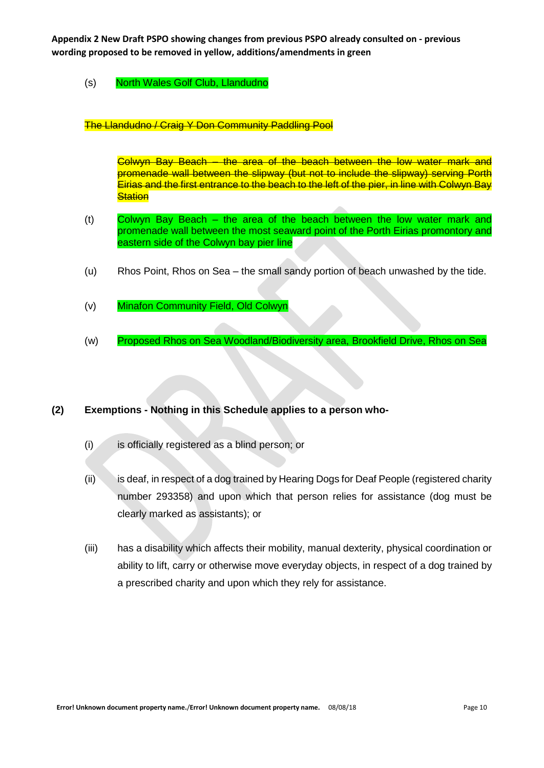#### (s) North Wales Golf Club, Llandudno

#### The Llandudno / Craig Y Don Community Paddling Pool

Colwyn Bay Beach – the area of the beach between the low water mark and promenade wall between the slipway (but not to include the slipway) serving Porth Eirias and the first entrance to the beach to the left of the pier, in line with Colwyn Bay **Station** 

- (t) Colwyn Bay Beach the area of the beach between the low water mark and promenade wall between the most seaward point of the Porth Eirias promontory and eastern side of the Colwyn bay pier line
- (u) Rhos Point, Rhos on Sea the small sandy portion of beach unwashed by the tide.
- (v) Minafon Community Field, Old Colwyn
- (w) Proposed Rhos on Sea Woodland/Biodiversity area, Brookfield Drive, Rhos on Sea

#### **(2) Exemptions - Nothing in this Schedule applies to a person who-**

- (i) is officially registered as a blind person; or
- (ii) is deaf, in respect of a dog trained by Hearing Dogs for Deaf People (registered charity number 293358) and upon which that person relies for assistance (dog must be clearly marked as assistants); or
- (iii) has a disability which affects their mobility, manual dexterity, physical coordination or ability to lift, carry or otherwise move everyday objects, in respect of a dog trained by a prescribed charity and upon which they rely for assistance.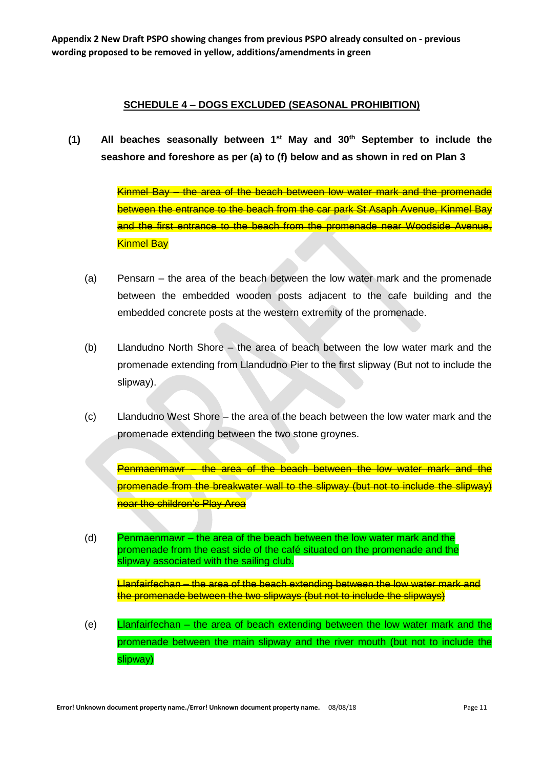## **SCHEDULE 4 – DOGS EXCLUDED (SEASONAL PROHIBITION)**

**(1) All beaches seasonally between 1st May and 30th September to include the seashore and foreshore as per (a) to (f) below and as shown in red on Plan 3**

> Kinmel Bay – the area of the beach between low water mark and the promenade between the entrance to the beach from the car park St Asaph Avenue, Kinmel Bay and the first entrance to the beach from the promenade near Woodside Avenue, Kinmel Bay

- (a) Pensarn the area of the beach between the low water mark and the promenade between the embedded wooden posts adjacent to the cafe building and the embedded concrete posts at the western extremity of the promenade.
- (b) Llandudno North Shore the area of beach between the low water mark and the promenade extending from Llandudno Pier to the first slipway (But not to include the slipway).
- (c) Llandudno West Shore the area of the beach between the low water mark and the promenade extending between the two stone groynes.

Penmaenmawr - the area of the beach between the low water mark and the promenade from the breakwater wall to the slipway (but not to include the slipway) near the children's Play Area

(d) Penmaenmawr – the area of the beach between the low water mark and the promenade from the east side of the café situated on the promenade and the slipway associated with the sailing club.

Llanfairfechan – the area of the beach extending between the low water mark and the promenade between the two slipways (but not to include the slipways)

(e) Llanfairfechan – the area of beach extending between the low water mark and the promenade between the main slipway and the river mouth (but not to include the slipway)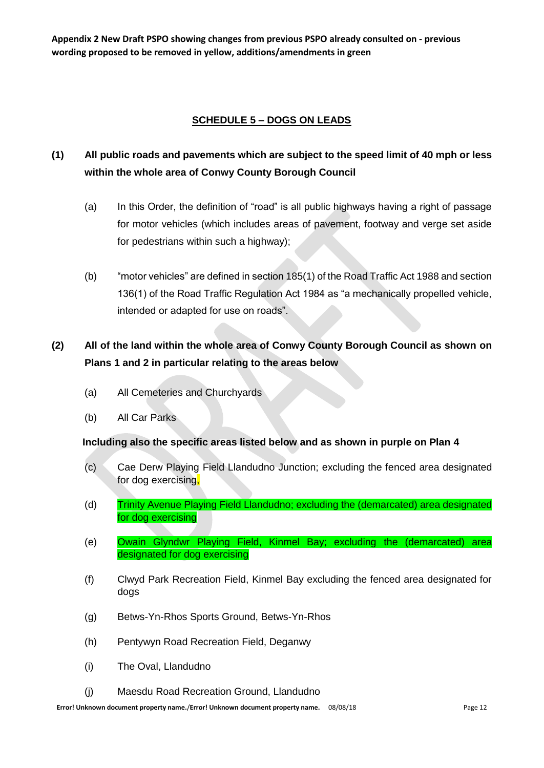## **SCHEDULE 5 – DOGS ON LEADS**

## **(1) All public roads and pavements which are subject to the speed limit of 40 mph or less within the whole area of Conwy County Borough Council**

- (a) In this Order, the definition of "road" is all public highways having a right of passage for motor vehicles (which includes areas of pavement, footway and verge set aside for pedestrians within such a highway);
- (b) "motor vehicles" are defined in section 185(1) of the Road Traffic Act 1988 and section 136(1) of the Road Traffic Regulation Act 1984 as "a mechanically propelled vehicle, intended or adapted for use on roads".

# **(2) All of the land within the whole area of Conwy County Borough Council as shown on Plans 1 and 2 in particular relating to the areas below**

- (a) All Cemeteries and Churchyards
- (b) All Car Parks

#### **Including also the specific areas listed below and as shown in purple on Plan 4**

- (c) Cae Derw Playing Field Llandudno Junction; excluding the fenced area designated for dog exercising,
- (d) Trinity Avenue Playing Field Llandudno; excluding the (demarcated) area designated for dog exercising
- (e) Owain Glyndwr Playing Field, Kinmel Bay; excluding the (demarcated) area designated for dog exercising
- (f) Clwyd Park Recreation Field, Kinmel Bay excluding the fenced area designated for dogs
- (g) Betws-Yn-Rhos Sports Ground, Betws-Yn-Rhos
- (h) Pentywyn Road Recreation Field, Deganwy
- (i) The Oval, Llandudno
- (j) Maesdu Road Recreation Ground, Llandudno

**Error! Unknown document property name./Error! Unknown document property name.** 08/08/18 **Page 12** Page 12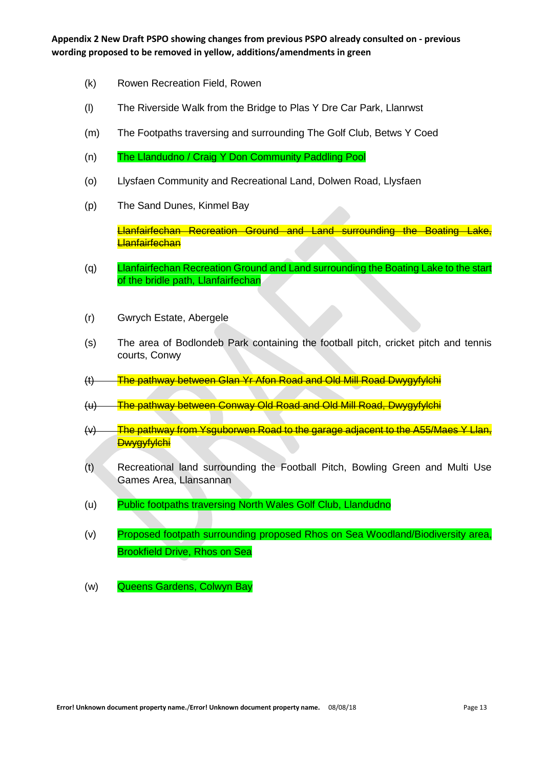- (k) Rowen Recreation Field, Rowen
- (l) The Riverside Walk from the Bridge to Plas Y Dre Car Park, Llanrwst
- (m) The Footpaths traversing and surrounding The Golf Club, Betws Y Coed
- (n) The Llandudno / Craig Y Don Community Paddling Pool
- (o) Llysfaen Community and Recreational Land, Dolwen Road, Llysfaen
- (p) The Sand Dunes, Kinmel Bay

Llanfairfechan Recreation Ground and Land surrounding the Boating Lake, **Llanfairfechan** 

- (q) Llanfairfechan Recreation Ground and Land surrounding the Boating Lake to the start of the bridle path, Llanfairfechan
- (r) Gwrych Estate, Abergele
- (s) The area of Bodlondeb Park containing the football pitch, cricket pitch and tennis courts, Conwy
- (t) The pathway between Glan Yr Afon Road and Old Mill Road Dwygyfylchi
- (u) The pathway between Conway Old Road and Old Mill Road, Dwygyfylchi
- (v) The pathway from Ysguborwen Road to the garage adjacent to the A55/Maes Y Llan, **Dwygyfylchi**
- (t) Recreational land surrounding the Football Pitch, Bowling Green and Multi Use Games Area, Llansannan
- (u) Public footpaths traversing North Wales Golf Club, Llandudno
- (v) Proposed footpath surrounding proposed Rhos on Sea Woodland/Biodiversity area, Brookfield Drive, Rhos on Sea
- (w) Queens Gardens, Colwyn Bay